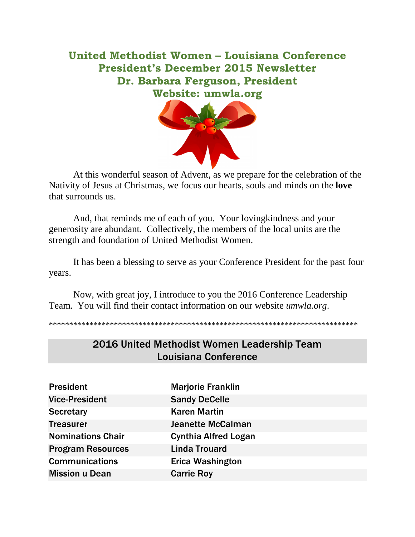United Methodist Women – Louisiana Conference President's December 2015 Newsletter Dr. Barbara Ferguson, President Website: umwla.org



At this wonderful season of Advent, as we prepare for the celebration of the Nativity of Jesus at Christmas, we focus our hearts, souls and minds on the **love** that surrounds us.

And, that reminds me of each of you. Your lovingkindness and your generosity are abundant. Collectively, the members of the local units are the strength and foundation of United Methodist Women.

It has been a blessing to serve as your Conference President for the past four years.

Now, with great joy, I introduce to you the 2016 Conference Leadership Team. You will find their contact information on our website *umwla.org*.

\*\*\*\*\*\*\*\*\*\*\*\*\*\*\*\*\*\*\*\*\*\*\*\*\*\*\*\*\*\*\*\*\*\*\*\*\*\*\*\*\*\*\*\*\*\*\*\*\*\*\*\*\*\*\*\*\*\*\*\*\*\*\*\*\*\*\*\*\*\*\*\*\*\*\*\*

| <b>President</b>         | <b>Marjorie Franklin</b>    |
|--------------------------|-----------------------------|
| <b>Vice-President</b>    | <b>Sandy DeCelle</b>        |
| <b>Secretary</b>         | <b>Karen Martin</b>         |
| <b>Treasurer</b>         | <b>Jeanette McCalman</b>    |
| <b>Nominations Chair</b> | <b>Cynthia Alfred Logan</b> |
| <b>Program Resources</b> | <b>Linda Trouard</b>        |
| <b>Communications</b>    | <b>Erica Washington</b>     |
| <b>Mission u Dean</b>    | <b>Carrie Roy</b>           |

## 2016 United Methodist Women Leadership Team Louisiana Conference